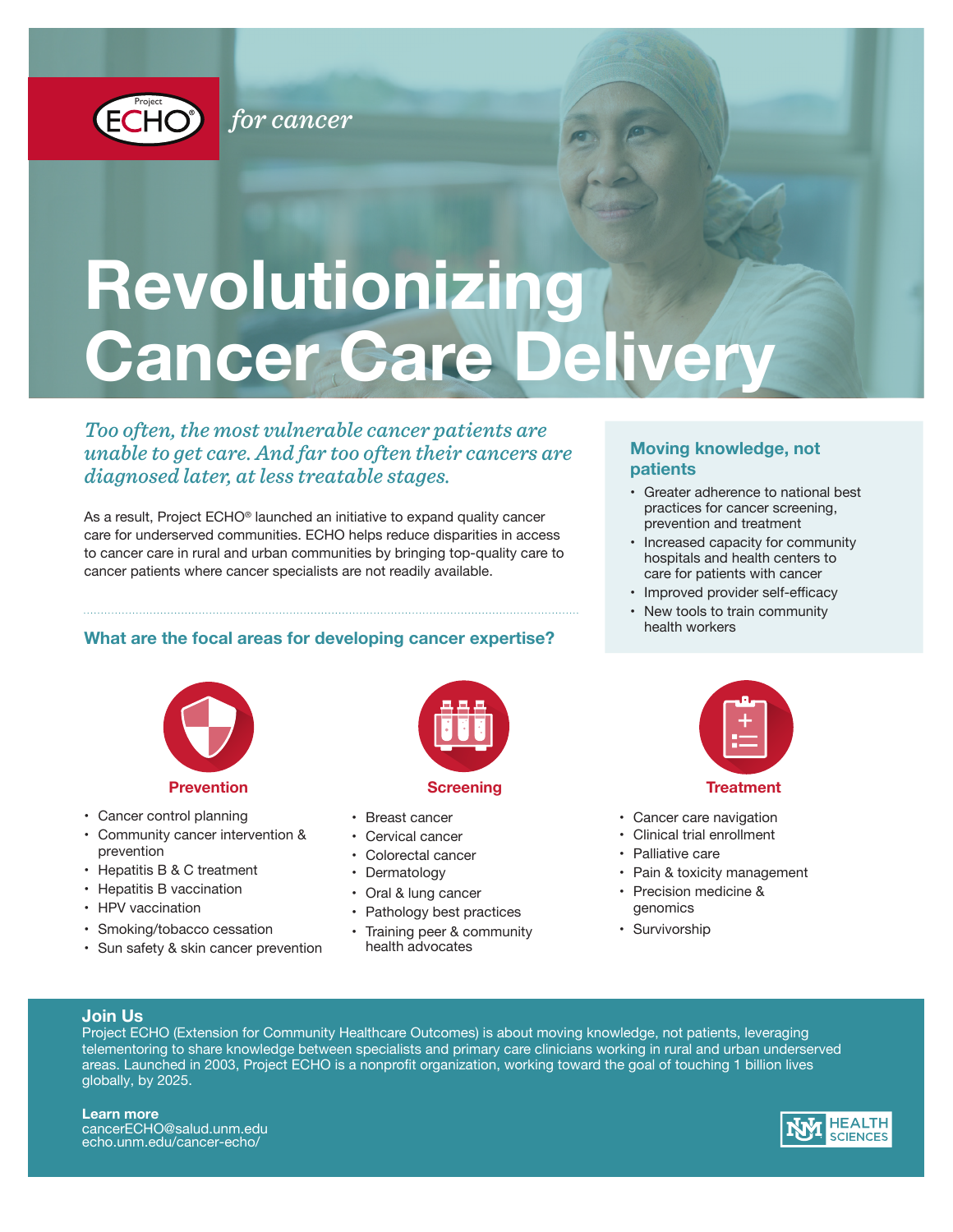

for cancer

# **Revolutionizing Cancer Care Delivery**

### *Too often, the most vulnerable cancer patients are unable to get care. And far too often their cancers are diagnosed later, at less treatable stages.*

*for cancer for cancer*

As a result, Project ECHO® launched an initiative to expand quality cancer care for underserved communities. ECHO helps reduce disparities in access to cancer care in rural and urban communities by bringing top-quality care to cancer patients where cancer specialists are not readily available.

#### **What are the focal areas for developing cancer expertise?**



#### **Prevention**

- Cancer control planning
- Community cancer intervention & prevention
- Hepatitis B & C treatment
- Hepatitis B vaccination
- HPV vaccination
- Smoking/tobacco cessation
- Sun safety & skin cancer prevention



- Breast cancer
- Cervical cancer
- Colorectal cancer
- Dermatology
- Oral & lung cancer
- Pathology best practices
- Training peer & community health advocates



- Greater adherence to national best practices for cancer screening, prevention and treatment
- Increased capacity for community hospitals and health centers to care for patients with cancer
- Improved provider self-efficacy
- New tools to train community health workers



#### **Treatment**

- Cancer care navigation
- Clinical trial enrollment
- Palliative care
- Pain & toxicity management
- Precision medicine & genomics
- Survivorship

#### **Join Us**

Project ECHO (Extension for Community Healthcare Outcomes) is about moving knowledge, not patients, leveraging telementoring to share knowledge between specialists and primary care clinicians working in rural and urban underserved areas. Launched in 2003, Project ECHO is a nonprofit organization, working toward the goal of touching 1 billion lives globally, by 2025.

**Learn more** cancerECHO@salud.unm.edu echo.unm.edu/cancer-echo/